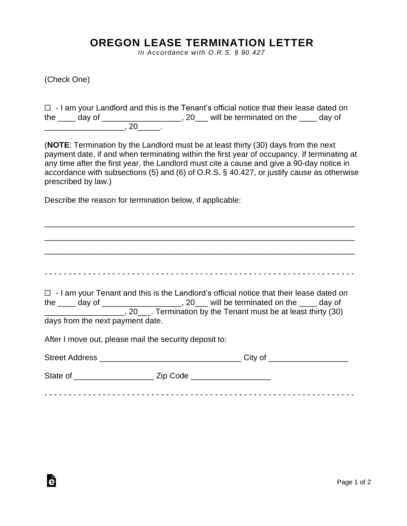## **OREGON LEASE TERMINATION LETTER**

*In Accordance with O.R.S. § 90.427*

(Check One)

Ġ

☐ - I am your Landlord and this is the Tenant's official notice that their lease dated on the day of \_\_\_\_\_\_\_\_\_\_\_\_\_\_\_\_\_\_\_, 20\_\_\_ will be terminated on the \_\_\_\_ day of \_\_\_\_\_\_\_\_\_\_\_\_\_\_\_\_\_\_, 20\_\_\_\_\_.

(**NOTE**: Termination by the Landlord must be at least thirty (30) days from the next payment date, if and when terminating within the first year of occupancy. If terminating at any time after the first year, the Landlord must cite a cause and give a 90-day notice in accordance with subsections (5) and (6) of O.R.S. § 40.427, or justify cause as otherwise prescribed by law.)

Describe the reason for termination below, if applicable:

\_\_\_\_\_\_\_\_\_\_\_\_\_\_\_\_\_\_\_\_\_\_\_\_\_\_\_\_\_\_\_\_\_\_\_\_\_\_\_\_\_\_\_\_\_\_\_\_\_\_\_\_\_\_\_\_\_\_\_\_\_\_\_\_\_\_\_\_\_\_ \_\_\_\_\_\_\_\_\_\_\_\_\_\_\_\_\_\_\_\_\_\_\_\_\_\_\_\_\_\_\_\_\_\_\_\_\_\_\_\_\_\_\_\_\_\_\_\_\_\_\_\_\_\_\_\_\_\_\_\_\_\_\_\_\_\_\_\_\_\_ \_\_\_\_\_\_\_\_\_\_\_\_\_\_\_\_\_\_\_\_\_\_\_\_\_\_\_\_\_\_\_\_\_\_\_\_\_\_\_\_\_\_\_\_\_\_\_\_\_\_\_\_\_\_\_\_\_\_\_\_\_\_\_\_\_\_\_\_\_\_ - - - - - - - - - - - - - - - - - - - - - - - - - - - - - - - - - - - - - - - - - - - - - - - - - - - - - - - - - - - - - - - - ☐ - I am your Tenant and this is the Landlord's official notice that their lease dated on the \_\_\_\_ day of \_\_\_\_\_\_\_\_\_\_\_\_\_\_\_\_\_\_, 20\_\_\_ will be terminated on the \_\_\_\_ day of \_\_\_\_\_\_\_\_\_\_\_\_\_\_\_\_\_\_, 20\_\_\_. Termination by the Tenant must be at least thirty (30) days from the next payment date. After I move out, please mail the security deposit to: Street Address \_\_\_\_\_\_\_\_\_\_\_\_\_\_\_\_\_\_\_\_\_\_\_\_\_\_\_\_\_\_\_\_ City of \_\_\_\_\_\_\_\_\_\_\_\_\_\_\_\_\_\_ State of \_\_\_\_\_\_\_\_\_\_\_\_\_\_\_\_\_\_ Zip Code \_\_\_\_\_\_\_\_\_\_\_\_\_\_\_\_\_\_ - - - - - - - - - - - - - - - - - - - - - - - - - - - - - - - - - - - - - - - - - - - - - - - - - - - - - - - - - - - - - - - -